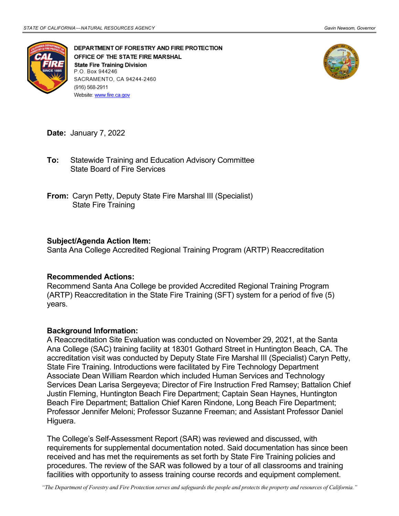

DEPARTMENT OF FORESTRY AND FIRE PROTECTION OFFICE OF THE STATE FIRE MARSHAL **State Fire Training Division** P.O. Box 944246 SACRAMENTO, CA 94244-2460 (916) 568-2911 Website: www.fire.ca.gov



**Date:** January 7, 2022

- State Board of Fire Services **To:** Statewide Training and Education Advisory Committee
- **From:** Caryn Petty, Deputy State Fire Marshal III (Specialist) State Fire Training

## **Subject/Agenda Action Item:**

Santa Ana College Accredited Regional Training Program (ARTP) Reaccreditation

## **Recommended Actions:**

 (ARTP) Reaccreditation in the State Fire Training (SFT) system for a period of five (5) years. Recommend Santa Ana College be provided Accredited Regional Training Program

## **Background Information:**

 Ana College (SAC) training facility at 18301 Gothard Street in Huntington Beach, CA. The accreditation visit was conducted by Deputy State Fire Marshal III (Specialist) Caryn Petty, Services Dean Larisa Sergeyeva; Director of Fire Instruction Fred Ramsey; Battalion Chief Beach Fire Department; Battalion Chief Karen Rindone, Long Beach Fire Department; Professor Jennifer Meloni; Professor Suzanne Freeman; and Assistant Professor Daniel A Reaccreditation Site Evaluation was conducted on November 29, 2021, at the Santa State Fire Training. Introductions were facilitated by Fire Technology Department Associate Dean William Reardon which included Human Services and Technology Justin Fleming, Huntington Beach Fire Department; Captain Sean Haynes, Huntington Higuera.

 The College's Self-Assessment Report (SAR) was reviewed and discussed, with received and has met the requirements as set forth by State Fire Training policies and procedures. The review of the SAR was followed by a tour of all classrooms and training requirements for supplemental documentation noted. Said documentation has since been facilities with opportunity to assess training course records and equipment complement.